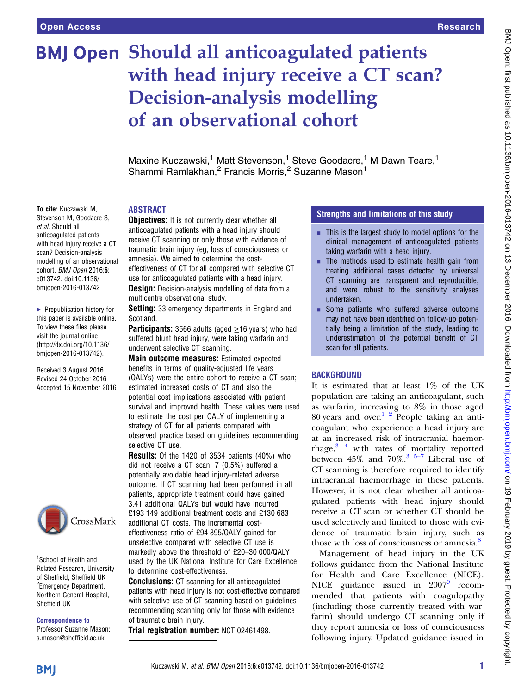To cite: Kuczawski M,

scan? Decision-analysis

e013742. doi:10.1136/ bmjopen-2016-013742

▶ Prepublication history for this paper is available online. To view these files please visit the journal online [\(http://dx.doi.org/10.1136/](http://dx.doi.org/10.1136/bmjopen-2016-013742) [bmjopen-2016-013742](http://dx.doi.org/10.1136/bmjopen-2016-013742)). Received 3 August 2016 Revised 24 October 2016 Accepted 15 November 2016

et al. Should all anticoagulated patients

# **BMJ Open Should all anticoagulated patients** with head injury receive a CT scan? Decision-analysis modelling of an observational cohort

Maxine Kuczawski,<sup>1</sup> Matt Stevenson,<sup>1</sup> Steve Goodacre,<sup>1</sup> M Dawn Teare,<sup>1</sup> Shammi Ramlakhan,<sup>2</sup> Francis Morris,<sup>2</sup> Suzanne Mason<sup>1</sup>

### ABSTRACT

Stevenson M, Goodacre S, with head injury receive a CT modelling of an observational cohort. BMJ Open 2016;6: **Objectives:** It is not currently clear whether all anticoagulated patients with a head injury should receive CT scanning or only those with evidence of traumatic brain injury (eg, loss of consciousness or amnesia). We aimed to determine the costeffectiveness of CT for all compared with selective CT use for anticoagulated patients with a head injury. **Design:** Decision-analysis modelling of data from a multicentre observational study.

> **Setting:** 33 emergency departments in England and Scotland.

**Participants:** 3566 adults (aged  $\geq$ 16 years) who had suffered blunt head injury, were taking warfarin and underwent selective CT scanning.

Main outcome measures: Estimated expected benefits in terms of quality-adjusted life years (QALYs) were the entire cohort to receive a CT scan; estimated increased costs of CT and also the potential cost implications associated with patient survival and improved health. These values were used to estimate the cost per QALY of implementing a strategy of CT for all patients compared with observed practice based on guidelines recommending selective CT use.

Results: Of the 1420 of 3534 patients (40%) who did not receive a CT scan, 7 (0.5%) suffered a potentially avoidable head injury-related adverse outcome. If CT scanning had been performed in all patients, appropriate treatment could have gained 3.41 additional QALYs but would have incurred £193 149 additional treatment costs and £130 683 additional CT costs. The incremental costeffectiveness ratio of £94 895/QALY gained for unselective compared with selective CT use is markedly above the threshold of £20–30 000/QALY used by the UK National Institute for Care Excellence to determine cost-effectiveness.

Conclusions: CT scanning for all anticoagulated patients with head injury is not cost-effective compared with selective use of CT scanning based on guidelines recommending scanning only for those with evidence of traumatic brain injury.

Trial registration number: NCT 02461498.

# Strengths and limitations of this study

- $\blacksquare$  This is the largest study to model options for the clinical management of anticoagulated patients taking warfarin with a head injury.
- The methods used to estimate health gain from treating additional cases detected by universal CT scanning are transparent and reproducible, and were robust to the sensitivity analyses undertaken.
- **EX Some patients who suffered adverse outcome** may not have been identified on follow-up potentially being a limitation of the study, leading to underestimation of the potential benefit of CT scan for all patients.

# BACKGROUND

It is estimated that at least 1% of the UK population are taking an anticoagulant, such as warfarin, increasing to 8% in those aged 80 years and over.<sup>1 2</sup> People taking an anticoagulant who experience a head injury are at an increased risk of intracranial haemorrhage,<sup>3</sup><sup>4</sup> with rates of mortality reported between  $45\%$  and  $70\%$ .<sup>[3 5](#page-5-0)–7</sup> Liberal use of CT scanning is therefore required to identify intracranial haemorrhage in these patients. However, it is not clear whether all anticoagulated patients with head injury should receive a CT scan or whether CT should be used selectively and limited to those with evidence of traumatic brain injury, such as those with loss of consciousness or amnesia.<sup>[8](#page-5-0)</sup>

Management of head injury in the UK follows guidance from the National Institute for Health and Care Excellence (NICE). NICE guidance issued in 2007<sup>[9](#page-5-0)</sup> recommended that patients with coagulopathy (including those currently treated with warfarin) should undergo CT scanning only if they report amnesia or loss of consciousness following injury. Updated guidance issued in

**BMJ** 

1 School of Health and Related Research, University of Sheffield, Sheffield UK <sup>2</sup> Emergency Department, Northern General Hospital,

CrossMark

Sheffield UK

Correspondence to Professor Suzanne Mason; s.mason@sheffield.ac.uk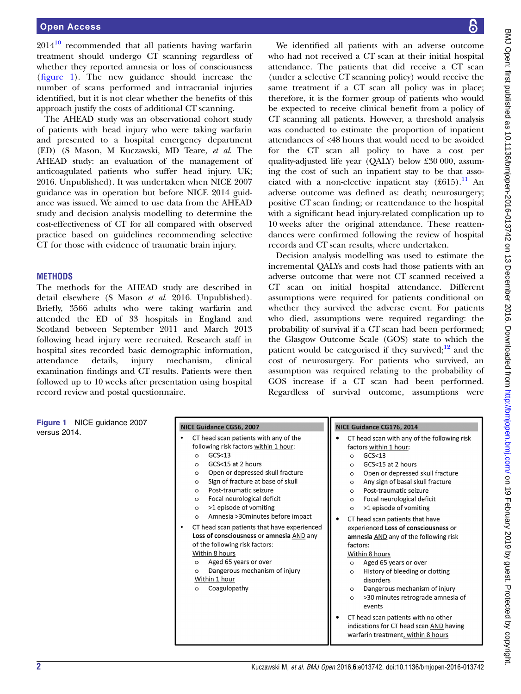$2014<sup>10</sup>$  $2014<sup>10</sup>$  $2014<sup>10</sup>$  recommended that all patients having warfarin treatment should undergo CT scanning regardless of whether they reported amnesia or loss of consciousness (figure 1). The new guidance should increase the number of scans performed and intracranial injuries identified, but it is not clear whether the benefits of this approach justify the costs of additional CT scanning.

The AHEAD study was an observational cohort study of patients with head injury who were taking warfarin and presented to a hospital emergency department (ED) (S Mason, M Kuczawski, MD Teare, et al. The AHEAD study: an evaluation of the management of anticoagulated patients who suffer head injury. UK; 2016. Unpublished). It was undertaken when NICE 2007 guidance was in operation but before NICE 2014 guidance was issued. We aimed to use data from the AHEAD study and decision analysis modelling to determine the cost-effectiveness of CT for all compared with observed practice based on guidelines recommending selective CT for those with evidence of traumatic brain injury.

### **METHODS**

The methods for the AHEAD study are described in detail elsewhere (S Mason et al. 2016. Unpublished). Briefly, 3566 adults who were taking warfarin and attended the ED of 33 hospitals in England and Scotland between September 2011 and March 2013 following head injury were recruited. Research staff in hospital sites recorded basic demographic information, attendance details, injury mechanism, clinical examination findings and CT results. Patients were then followed up to 10 weeks after presentation using hospital record review and postal questionnaire.

We identified all patients with an adverse outcome who had not received a CT scan at their initial hospital attendance. The patients that did receive a CT scan (under a selective CT scanning policy) would receive the same treatment if a CT scan all policy was in place; therefore, it is the former group of patients who would be expected to receive clinical benefit from a policy of CT scanning all patients. However, a threshold analysis was conducted to estimate the proportion of inpatient attendances of <48 hours that would need to be avoided for the CT scan all policy to have a cost per quality-adjusted life year (QALY) below £30 000, assuming the cost of such an inpatient stay to be that associated with a non-elective inpatient stay  $(f615).$ <sup>[11](#page-5-0)</sup> An adverse outcome was defined as: death; neurosurgery; positive CT scan finding; or reattendance to the hospital with a significant head injury-related complication up to 10 weeks after the original attendance. These reattendances were confirmed following the review of hospital records and CT scan results, where undertaken.

Decision analysis modelling was used to estimate the incremental QALYs and costs had those patients with an adverse outcome that were not CT scanned received a CT scan on initial hospital attendance. Different assumptions were required for patients conditional on whether they survived the adverse event. For patients who died, assumptions were required regarding: the probability of survival if a CT scan had been performed; the Glasgow Outcome Scale (GOS) state to which the patient would be categorised if they survived; $12$  and the cost of neurosurgery. For patients who survived, an assumption was required relating to the probability of GOS increase if a CT scan had been performed. Regardless of survival outcome, assumptions were

Figure 1 NICE guidance 2007 versus 2014.

| NICE Guidance CG56, 2007                                                                                                                                                                                                                                                                                                                                                                                                                                                                                                                                                                                                                                                            | NICE Guidance CG176, 2014                                                                                                                                                                                                                                                                                                                                                                                                                                                                                                                                                                                                                                                                                                                            |  |  |
|-------------------------------------------------------------------------------------------------------------------------------------------------------------------------------------------------------------------------------------------------------------------------------------------------------------------------------------------------------------------------------------------------------------------------------------------------------------------------------------------------------------------------------------------------------------------------------------------------------------------------------------------------------------------------------------|------------------------------------------------------------------------------------------------------------------------------------------------------------------------------------------------------------------------------------------------------------------------------------------------------------------------------------------------------------------------------------------------------------------------------------------------------------------------------------------------------------------------------------------------------------------------------------------------------------------------------------------------------------------------------------------------------------------------------------------------------|--|--|
| CT head scan patients with any of the<br>following risk factors within 1 hour:<br>GCS < 13<br>$\circ$<br>GCS<15 at 2 hours<br>$\circ$<br>Open or depressed skull fracture<br>$\circ$<br>Sign of fracture at base of skull<br>$\circ$<br>Post-traumatic seizure<br>$\circ$<br>Focal neurological deficit<br>$\circ$<br>>1 episode of vomiting<br>$\circ$<br>Amnesia > 30 minutes before impact<br>$\circ$<br>CT head scan patients that have experienced<br>Loss of consciousness or amnesia AND any<br>of the following risk factors:<br>Within 8 hours<br>Aged 65 years or over<br>$\circ$<br>Dangerous mechanism of injury<br>$\circ$<br>Within 1 hour<br>Coagulopathy<br>$\circ$ | CT head scan with any of the following risk<br>factors within 1 hour:<br>GCS <sub>13</sub><br>$\circ$<br>GCS<15 at 2 hours<br>$\circ$<br>Open or depressed skull fracture<br>$\circ$<br>Any sign of basal skull fracture<br>$\circ$<br>Post-traumatic seizure<br>$\circ$<br>Focal neurological deficit<br>$\circ$<br>>1 episode of vomiting<br>$\circ$<br>CT head scan patients that have<br>experienced Loss of consciousness or<br>amnesia AND any of the following risk<br>factors:<br>Within 8 hours<br>Aged 65 years or over<br>$\circ$<br>History of bleeding or clotting<br>$\circ$<br>disorders<br>Dangerous mechanism of injury<br>$\circ$<br>>30 minutes retrograde amnesia of<br>$\circ$<br>events<br>CT head scan patients with no other |  |  |
|                                                                                                                                                                                                                                                                                                                                                                                                                                                                                                                                                                                                                                                                                     | indications for CT head scan AND having<br>warfarin treatment, within 8 hours                                                                                                                                                                                                                                                                                                                                                                                                                                                                                                                                                                                                                                                                        |  |  |

# BMJ Open: first published as 10.1136/bmjopen-2016-013742 on 13 December 2016. Downloaded from http://bmjopen.bmj.com/ on 19 February 2019 by guest. Protected by copyright

BMJ Open: first published as 10.1136/bmjopen-2016-0132 on 13 December 2016. Downloaded from <http://bmjopen.bmj.com/> on 19 Hebruary 2019 opest. Protected by copyright.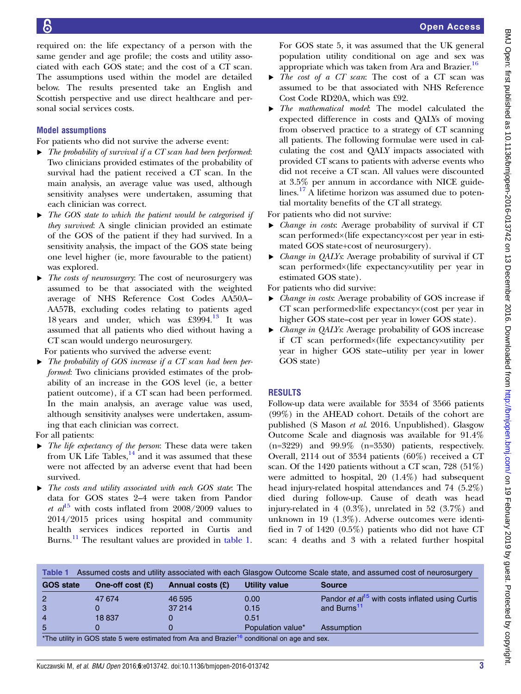required on: the life expectancy of a person with the same gender and age profile; the costs and utility associated with each GOS state; and the cost of a CT scan. The assumptions used within the model are detailed below. The results presented take an English and Scottish perspective and use direct healthcare and personal social services costs.

# Model assumptions

For patients who did not survive the adverse event:

- $\triangleright$  The probability of survival if a CT scan had been performed: Two clinicians provided estimates of the probability of survival had the patient received a CT scan. In the main analysis, an average value was used, although sensitivity analyses were undertaken, assuming that each clinician was correct.
- $\triangleright$  The GOS state to which the patient would be categorised if they survived: A single clinician provided an estimate of the GOS of the patient if they had survived. In a sensitivity analysis, the impact of the GOS state being one level higher (ie, more favourable to the patient) was explored.
- ▸ The costs of neurosurgery: The cost of neurosurgery was assumed to be that associated with the weighted average of NHS Reference Cost Codes AA50A– AA57B, excluding codes relating to patients aged 18 years and under, which was £3994.<sup>[13](#page-5-0)</sup> It was assumed that all patients who died without having a CT scan would undergo neurosurgery.

For patients who survived the adverse event:

 $\triangleright$  The probability of GOS increase if a CT scan had been performed: Two clinicians provided estimates of the probability of an increase in the GOS level (ie, a better patient outcome), if a CT scan had been performed. In the main analysis, an average value was used, although sensitivity analyses were undertaken, assuming that each clinician was correct.

For all patients:

- $\triangleright$  The life expectancy of the person: These data were taken from UK Life Tables, $^{14}$  $^{14}$  $^{14}$  and it was assumed that these were not affected by an adverse event that had been survived.
- The costs and utility associated with each GOS state. The data for GOS states 2–4 were taken from Pandor et  $al^{15}$  $al^{15}$  $al^{15}$  with costs inflated from 2008/2009 values to 2014/2015 prices using hospital and community health services indices reported in Curtis and Burns.<sup>[11](#page-5-0)</sup> The resultant values are provided in table 1.

For GOS state 5, it was assumed that the UK general population utility conditional on age and sex was appropriate which was taken from Ara and Brazier.<sup>16</sup>

- ▶ *The cost of a CT scan*: The cost of a CT scan was assumed to be that associated with NHS Reference Cost Code RD20A, which was £92.
- ▸ The mathematical model: The model calculated the expected difference in costs and QALYs of moving from observed practice to a strategy of CT scanning all patients. The following formulae were used in calculating the cost and QALY impacts associated with provided CT scans to patients with adverse events who did not receive a CT scan. All values were discounted at 3.5% per annum in accordance with NICE guide-lines.<sup>[17](#page-5-0)</sup> A lifetime horizon was assumed due to potential mortality benefits of the CT all strategy.

For patients who did not survive:

- ▸ Change in costs: Average probability of survival if CT scan performed×(life expectancy×cost per year in estimated GOS state+cost of neurosurgery).
- Change in QALYs: Average probability of survival if CT scan performed×(life expectancy×utility per year in estimated GOS state).

For patients who did survive:

- ▸ Change in costs: Average probability of GOS increase if CT scan performed×life expectancy×(cost per year in higher GOS state–cost per year in lower GOS state).
- ▸ Change in QALYs: Average probability of GOS increase if CT scan performed×(life expectancy×utility per year in higher GOS state–utility per year in lower GOS state)

# RESULTS

Follow-up data were available for 3534 of 3566 patients (99%) in the AHEAD cohort. Details of the cohort are published (S Mason et al. 2016. Unpublished). Glasgow Outcome Scale and diagnosis was available for 91.4%  $(n=3229)$  and  $99.9\%$   $(n=3530)$  patients, respectively. Overall, 2114 out of 3534 patients (60%) received a CT scan. Of the 1420 patients without a CT scan, 728 (51%) were admitted to hospital, 20 (1.4%) had subsequent head injury-related hospital attendances and 74 (5.2%) died during follow-up. Cause of death was head injury-related in 4 (0.3%), unrelated in 52 (3.7%) and unknown in 19 (1.3%). Adverse outcomes were identified in 7 of 1420 (0.5%) patients who did not have CT scan: 4 deaths and 3 with a related further hospital

| <b>GOS state</b> | One-off cost $(E)$ | Annual costs (£) | Utility value     | <b>Source</b>                                               |
|------------------|--------------------|------------------|-------------------|-------------------------------------------------------------|
| $\overline{2}$   | 47 674             | 46 595           | 0.00              | Pandor et al <sup>15</sup> with costs inflated using Curtis |
| 3                |                    | 37 214           | 0.15              | and Burns <sup>11</sup>                                     |
| $\overline{4}$   | 18837              |                  | 0.51              |                                                             |
| 5                |                    |                  | Population value* | Assumption                                                  |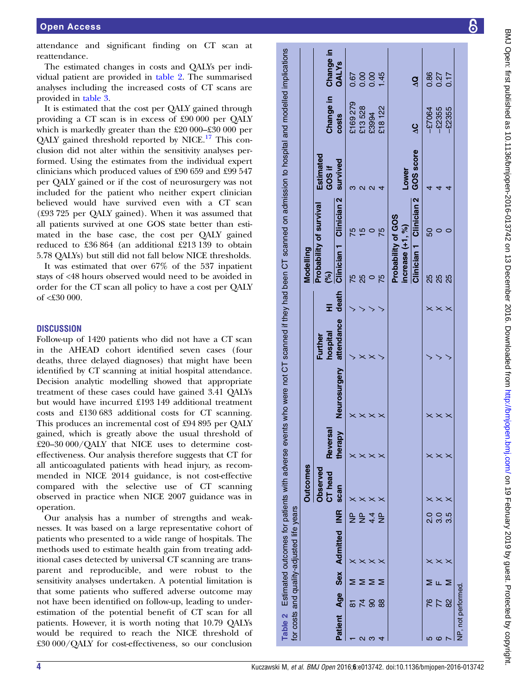attendance and significant finding on CT scan at reattendance.

The estimated changes in costs and QALYs per individual patient are provided in table 2. The summarised analyses including the increased costs of CT scans are provided in [table 3.](#page-4-0)

It is estimated that the cost per QALY gained through providing a CT scan is in excess of £90 000 per QALY which is markedly greater than the £20 000–£30 000 per QALY gained threshold reported by NICE.<sup>[17](#page-5-0)</sup> This conclusion did not alter within the sensitivity analyses performed. Using the estimates from the individual expert clinicians which produced values of £90 659 and £99 547 per QALY gained or if the cost of neurosurgery was not included for the patient who neither expert clinician believed would have survived even with a CT scan (£93 725 per QALY gained). When it was assumed that all patients survived at one GOS state better than estimated in the base case, the cost per QALY gained reduced to £36 864 (an additional £213 139 to obtain 5.78 QALYs) but still did not fall below NICE thresholds.

It was estimated that over 67% of the 537 inpatient stays of <48 hours observed would need to be avoided in order for the CT scan all policy to have a cost per QALY of <£30 000.

## **DISCUSSION**

Follow-up of 1420 patients who did not have a CT scan in the AHEAD cohort identified seven cases (four deaths, three delayed diagnoses) that might have been identified by CT scanning at initial hospital attendance. Decision analytic modelling showed that appropriate treatment of these cases could have gained 3.41 QALYs but would have incurred £193 149 additional treatment costs and £130 683 additional costs for CT scanning. This produces an incremental cost of £94 895 per QALY gained, which is greatly above the usual threshold of £20–30 000/QALY that NICE uses to determine costeffectiveness. Our analysis therefore suggests that CT for all anticoagulated patients with head injury, as recommended in NICE 2014 guidance, is not cost-effective compared with the selective use of CT scanning observed in practice when NICE 2007 guidance was in operation.

Our analysis has a number of strengths and weaknesses. It was based on a large representative cohort of patients who presented to a wide range of hospitals. The methods used to estimate health gain from treating additional cases detected by universal CT scanning are transparent and reproducible, and were robust to the sensitivity analyses undertaken. A potential limitation is that some patients who suffered adverse outcome may not have been identified on follow-up, leading to underestimation of the potential benefit of CT scan for all patients. However, it is worth noting that 10.79 QALYs would be required to reach the NICE threshold of £30 000/QALY for cost-effectiveness, so our conclusion

scanned if they had been CT scanned on admission to hospital and modelled implications Change in Table 2 Estimated outcomes for patients with adverse events who were not CT scanned if they had been CT scanned on admission to hospital and modelled implications QALYs  $6004$ <br> $6004$  $0.86$ <br>0.27 NP ✗ ✗✗ ✓ ✓ 75 75 3 £169 279 0.67 NP ✗ ✗✗ ✗ ✓ 25 15 2 £13 528 0.00 4.4 ✗ ✗✗ ✗ ✓ 0 0 2 £3994 0.00 NP ✗ ✗✗ ✓ ✓ 75 75 4 £18 122 1.45 −£7064 0.86 −£2355 0.27 −£2355 0.17 ΔQ Change in £169279 £13528 £2355 218122  $-27064$ £2355 £3994 costs  $\mathbf{\hat{s}}$ GOS score GOS score Estimated Estimated survived survived GOS if increase (+1, %) Lower Lower  $\omega$   $\alpha$   $\alpha$   $\rightarrow$ 4  $\overline{4}$  $\overline{d}$  2.0 ✗ ✗✗ ✓ ✗ 25 50 4 3.0 ✗ ✗✗ ✓ ✗ 25 0 4 3.5 ✗ ✗✗ ✓ ✗ 25 0 4 Clinician<sub>2</sub> Clinician<sub>2</sub> Patient Age Sex Admitted INR scan therapy Neurosurgery attendance death Clinician 1 Clinician 2 Clinician 1 Clinician 2 Probability of survival Probability of survival Probability of GOS Probability of GOS increase  $(+1, \%)$  $5500$  $2000$ Clinician<sub>1</sub> Clinician<sub>1</sub> Modelling Outcomes Modelling (%) **75**<br>25  $\frac{5}{7}$ 88<br>88 death HI  $\times\times\times$ attendance attendance hospital Further  $\times\times$ Estimated outcomes for patients with adverse events who were not CT Neurosurgery therapy Neurosurgery  $\times\times\times\times$  $\times\times\times$ **Reversal Reversal** therapy  $\times\times\times\times$  $\times\times\times$ **Outcomes** Observed<br>CT head Observed scan  $\times\times\times\times$  $\times\times\times$ or costs and quality-adjusted life years for costs and quality-adjusted life years  $\mathbf{R}$ Age Sex Admitted INR 울울  $\frac{4}{4}$   $\frac{1}{2}$ OOL<br>QOOL Sex Admitted ✗✗✗✗ $\times\times\times$  $\Sigma \Sigma \Sigma$  $\Sigma \mathrel{\mathsf{L}} \Sigma$ N<br>18<br>1 2 74 M is 90<br>3 4 88 M 5 76 M 7 82 M 6 77 F NP, not performed. NP, not performed. Age **ARS 25**  $782$ Table 2 Patient  $Q \cap T$ ഥ  $\circ$ 

ள்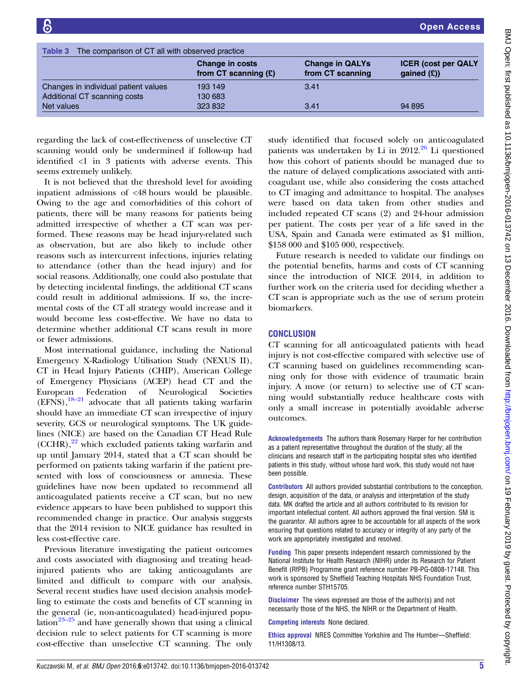<span id="page-4-0"></span>

| The comparison of CT all with observed practice<br>Table 3 |                                           |                                            |                                              |  |  |  |
|------------------------------------------------------------|-------------------------------------------|--------------------------------------------|----------------------------------------------|--|--|--|
|                                                            | Change in costs<br>from CT scanning $(E)$ | <b>Change in QALYs</b><br>from CT scanning | <b>ICER (cost per QALY</b><br>gained $(E)$ ) |  |  |  |
| Changes in individual patient values                       | 193 149                                   | 3.41                                       |                                              |  |  |  |
| Additional CT scanning costs                               | 130 683                                   |                                            |                                              |  |  |  |
| Net values                                                 | 323 832                                   | 3.41                                       | 94 895                                       |  |  |  |

regarding the lack of cost-effectiveness of unselective CT scanning would only be undermined if follow-up had identified <1 in 3 patients with adverse events. This seems extremely unlikely.

It is not believed that the threshold level for avoiding inpatient admissions of <48 hours would be plausible. Owing to the age and comorbidities of this cohort of patients, there will be many reasons for patients being admitted irrespective of whether a CT scan was performed. These reasons may be head injury-related such as observation, but are also likely to include other reasons such as intercurrent infections, injuries relating to attendance (other than the head injury) and for social reasons. Additionally, one could also postulate that by detecting incidental findings, the additional CT scans could result in additional admissions. If so, the incremental costs of the CT all strategy would increase and it would become less cost-effective. We have no data to determine whether additional CT scans result in more or fewer admissions.

Most international guidance, including the National Emergency X-Radiology Utilisation Study (NEXUS II), CT in Head Injury Patients (CHIP), American College of Emergency Physicians (ACEP) head CT and the European Federation of Neurological Societies  $(EFNS)$ ,  $^{18-21}$  $^{18-21}$  $^{18-21}$  advocate that all patients taking warfarin should have an immediate CT scan irrespective of injury severity, GCS or neurological symptoms. The UK guidelines (NICE) are based on the Canadian CT Head Rule  $(CCHR),<sup>22</sup>$  $(CCHR),<sup>22</sup>$  $(CCHR),<sup>22</sup>$  which excluded patients taking warfarin and up until January 2014, stated that a CT scan should be performed on patients taking warfarin if the patient presented with loss of consciousness or amnesia. These guidelines have now been updated to recommend all anticoagulated patients receive a CT scan, but no new evidence appears to have been published to support this recommended change in practice. Our analysis suggests that the 2014 revision to NICE guidance has resulted in less cost-effective care.

Previous literature investigating the patient outcomes and costs associated with diagnosing and treating headinjured patients who are taking anticoagulants are limited and difficult to compare with our analysis. Several recent studies have used decision analysis modelling to estimate the costs and benefits of CT scanning in the general (ie, non-anticoagulated) head-injured popu-lation<sup>[23](#page-5-0)–25</sup> and have generally shown that using a clinical decision rule to select patients for CT scanning is more cost-effective than unselective CT scanning. The only study identified that focused solely on anticoagulated patients was undertaken by Li in  $2012.<sup>26</sup>$  $2012.<sup>26</sup>$  $2012.<sup>26</sup>$  Li questioned how this cohort of patients should be managed due to the nature of delayed complications associated with anticoagulant use, while also considering the costs attached to CT imaging and admittance to hospital. The analyses were based on data taken from other studies and included repeated CT scans (2) and 24-hour admission per patient. The costs per year of a life saved in the USA, Spain and Canada were estimated as \$1 million, \$158 000 and \$105 000, respectively.

Future research is needed to validate our findings on the potential benefits, harms and costs of CT scanning since the introduction of NICE 2014, in addition to further work on the criteria used for deciding whether a CT scan is appropriate such as the use of serum protein biomarkers.

# **CONCLUSION**

CT scanning for all anticoagulated patients with head injury is not cost-effective compared with selective use of CT scanning based on guidelines recommending scanning only for those with evidence of traumatic brain injury. A move (or return) to selective use of CT scanning would substantially reduce healthcare costs with only a small increase in potentially avoidable adverse outcomes.

Acknowledgements The authors thank Rosemary Harper for her contribution as a patient representative throughout the duration of the study; all the clinicians and research staff in the participating hospital sites who identified patients in this study, without whose hard work, this study would not have been possible.

Contributors All authors provided substantial contributions to the conception, design, acquisition of the data, or analysis and interpretation of the study data. MK drafted the article and all authors contributed to its revision for important intellectual content. All authors approved the final version. SM is the guarantor. All authors agree to be accountable for all aspects of the work ensuring that questions related to accuracy or integrity of any party of the work are appropriately investigated and resolved.

Funding This paper presents independent research commissioned by the National Institute for Health Research (NIHR) under its Research for Patient Benefit (RfPB) Programme grant reference number PB-PG-0808-17148. This work is sponsored by Sheffield Teaching Hospitals NHS Foundation Trust, reference number STH15705.

Disclaimer The views expressed are those of the author(s) and not necessarily those of the NHS, the NIHR or the Department of Health.

Competing interests None declared.

Ethics approval NRES Committee Yorkshire and The Humber—Sheffield: 11/H1308/13.